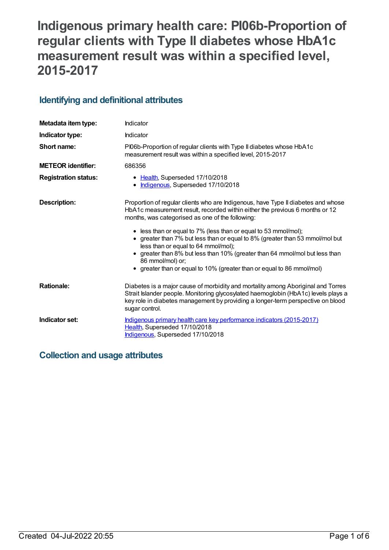# **Indigenous primary health care: PI06b-Proportion of regular clients with Type II diabetes whose HbA1c measurement result was within a specified level, 2015-2017**

## **Identifying and definitional attributes**

| Metadata item type:         | Indicator                                                                                                                                                                                                                                                                   |
|-----------------------------|-----------------------------------------------------------------------------------------------------------------------------------------------------------------------------------------------------------------------------------------------------------------------------|
| Indicator type:             | Indicator                                                                                                                                                                                                                                                                   |
| Short name:                 | PI06b-Proportion of regular clients with Type II diabetes whose HbA1c<br>measurement result was within a specified level, 2015-2017                                                                                                                                         |
| <b>METEOR</b> identifier:   | 686356                                                                                                                                                                                                                                                                      |
| <b>Registration status:</b> | • Health, Superseded 17/10/2018<br>Indigenous, Superseded 17/10/2018<br>$\bullet$                                                                                                                                                                                           |
| <b>Description:</b>         | Proportion of regular clients who are Indigenous, have Type II diabetes and whose<br>HbA1c measurement result, recorded within either the previous 6 months or 12<br>months, was categorised as one of the following:                                                       |
|                             | • less than or equal to 7% (less than or equal to 53 mmol/mol);<br>• greater than 7% but less than or equal to 8% (greater than 53 mmol/mol but<br>less than or equal to 64 mmol/mol);                                                                                      |
|                             | • greater than 8% but less than 10% (greater than 64 mmol/mol but less than<br>86 mmol/mol) or;<br>• greater than or equal to 10% (greater than or equal to 86 mmol/mol)                                                                                                    |
| <b>Rationale:</b>           | Diabetes is a major cause of morbidity and mortality among Aboriginal and Torres<br>Strait Islander people. Monitoring glycosylated haemoglobin (HbA1c) levels plays a<br>key role in diabetes management by providing a longer-term perspective on blood<br>sugar control. |
| Indicator set:              | Indigenous primary health care key performance indicators (2015-2017)<br>Health, Superseded 17/10/2018<br>Indigenous, Superseded 17/10/2018                                                                                                                                 |

# **Collection and usage attributes**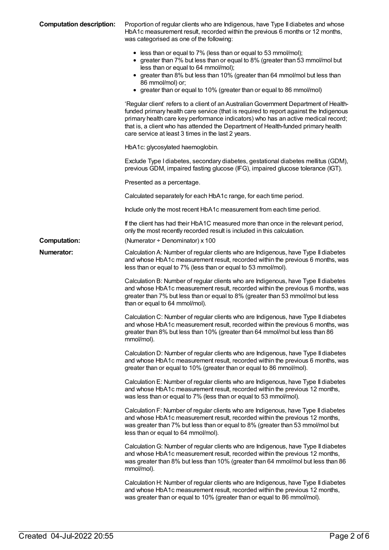| <b>Computation description:</b> | Proportion of regular clients who are Indigenous, have Type II diabetes and whose<br>HbA1c measurement result, recorded within the previous 6 months or 12 months,<br>was categorised as one of the following:<br>• less than or equal to 7% (less than or equal to 53 mmol/mol);                                                                                                                              |
|---------------------------------|----------------------------------------------------------------------------------------------------------------------------------------------------------------------------------------------------------------------------------------------------------------------------------------------------------------------------------------------------------------------------------------------------------------|
|                                 | • greater than 7% but less than or equal to 8% (greater than 53 mmol/mol but<br>less than or equal to 64 mmol/mol);<br>• greater than 8% but less than 10% (greater than 64 mmol/mol but less than<br>86 mmol/mol) or;<br>• greater than or equal to 10% (greater than or equal to 86 mmol/mol)                                                                                                                |
|                                 | 'Regular client' refers to a client of an Australian Government Department of Health-<br>funded primary health care service (that is required to report against the Indigenous<br>primary health care key performance indicators) who has an active medical record;<br>that is, a client who has attended the Department of Health-funded primary health<br>care service at least 3 times in the last 2 years. |
|                                 | HbA1c: glycosylated haemoglobin.                                                                                                                                                                                                                                                                                                                                                                               |
|                                 | Exclude Type I diabetes, secondary diabetes, gestational diabetes mellitus (GDM),<br>previous GDM, impaired fasting glucose (IFG), impaired glucose tolerance (IGT).                                                                                                                                                                                                                                           |
|                                 | Presented as a percentage.                                                                                                                                                                                                                                                                                                                                                                                     |
|                                 | Calculated separately for each HbA1c range, for each time period.                                                                                                                                                                                                                                                                                                                                              |
|                                 | Include only the most recent HbA1c measurement from each time period.                                                                                                                                                                                                                                                                                                                                          |
|                                 | If the client has had their HbA1C measured more than once in the relevant period,<br>only the most recently recorded result is included in this calculation.                                                                                                                                                                                                                                                   |
| <b>Computation:</b>             | (Numerator ÷ Denominator) x 100                                                                                                                                                                                                                                                                                                                                                                                |
| <b>Numerator:</b>               | Calculation A: Number of regular clients who are Indigenous, have Type II diabetes<br>and whose HbA1c measurement result, recorded within the previous 6 months, was<br>less than or equal to 7% (less than or equal to 53 mmol/mol).                                                                                                                                                                          |
|                                 | Calculation B: Number of regular clients who are Indigenous, have Type II diabetes<br>and whose HbA1c measurement result, recorded within the previous 6 months, was<br>greater than 7% but less than or equal to 8% (greater than 53 mmol/mol but less<br>than or equal to 64 mmol/mol).                                                                                                                      |
|                                 | Calculation C: Number of regular clients who are Indigenous, have Type II diabetes<br>and whose HbA1c measurement result, recorded within the previous 6 months, was<br>greater than 8% but less than 10% (greater than 64 mmol/mol but less than 86<br>mmol/mol).                                                                                                                                             |
|                                 | Calculation D: Number of regular clients who are Indigenous, have Type II diabetes<br>and whose HbA1c measurement result, recorded within the previous 6 months, was<br>greater than or equal to 10% (greater than or equal to 86 mmol/mol).                                                                                                                                                                   |
|                                 | Calculation E: Number of regular clients who are Indigenous, have Type II diabetes<br>and whose HbA1c measurement result, recorded within the previous 12 months,<br>was less than or equal to 7% (less than or equal to 53 mmol/mol).                                                                                                                                                                         |
|                                 | Calculation F: Number of regular clients who are Indigenous, have Type II diabetes<br>and whose HbA1c measurement result, recorded within the previous 12 months,<br>was greater than 7% but less than or equal to 8% (greater than 53 mmol/mol but<br>less than or equal to 64 mmol/mol).                                                                                                                     |
|                                 | Calculation G: Number of regular clients who are Indigenous, have Type II diabetes<br>and whose HbA1c measurement result, recorded within the previous 12 months,<br>was greater than 8% but less than 10% (greater than 64 mmol/mol but less than 86<br>mmol/mol).                                                                                                                                            |
|                                 | Calculation H: Number of regular clients who are Indigenous, have Type II diabetes<br>and whose HbA1c measurement result, recorded within the previous 12 months,<br>was greater than or equal to 10% (greater than or equal to 86 mmol/mol).                                                                                                                                                                  |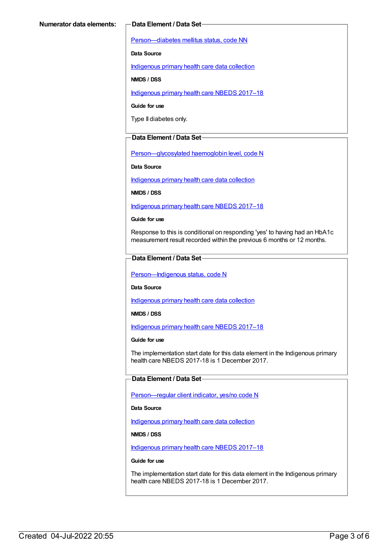[Person—diabetes](https://meteor.aihw.gov.au/content/270194) mellitus status, code NN

**Data Source**

[Indigenous](https://meteor.aihw.gov.au/content/430643) primary health care data collection

**NMDS / DSS**

[Indigenous](https://meteor.aihw.gov.au/content/686603) primary health care NBEDS 2017–18

**Guide for use**

Type II diabetes only.

#### **Data Element / Data Set**

[Person—glycosylated](https://meteor.aihw.gov.au/content/589601) haemoglobin level, code N

**Data Source**

[Indigenous](https://meteor.aihw.gov.au/content/430643) primary health care data collection

**NMDS / DSS**

[Indigenous](https://meteor.aihw.gov.au/content/686603) primary health care NBEDS 2017–18

**Guide for use**

Response to this is conditional on responding 'yes' to having had an HbA1c measurement result recorded within the previous 6 months or 12 months.

#### **Data Element / Data Set**

Person-Indigenous status, code N

**Data Source**

[Indigenous](https://meteor.aihw.gov.au/content/430643) primary health care data collection

**NMDS / DSS**

[Indigenous](https://meteor.aihw.gov.au/content/686603) primary health care NBEDS 2017–18

#### **Guide for use**

The implementation start date for this data element in the Indigenous primary health care NBEDS 2017-18 is 1 December 2017.

### **Data Element / Data Set**

[Person—regular](https://meteor.aihw.gov.au/content/686291) client indicator, yes/no code N

**Data Source**

[Indigenous](https://meteor.aihw.gov.au/content/430643) primary health care data collection

**NMDS / DSS**

[Indigenous](https://meteor.aihw.gov.au/content/686603) primary health care NBEDS 2017–18

#### **Guide for use**

The implementation start date for this data element in the Indigenous primary health care NBEDS 2017-18 is 1 December 2017.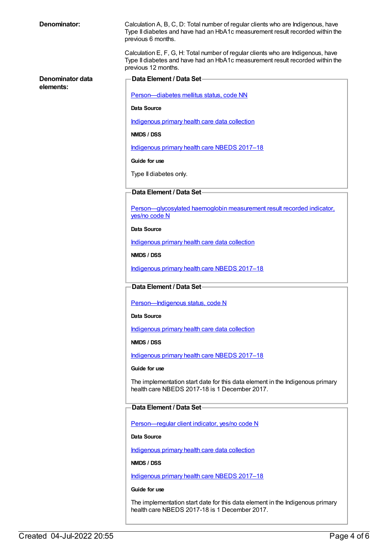| Denominator: |  |
|--------------|--|
|--------------|--|

**Denominator data**

**elements:**

Calculation A, B, C, D: Total number of regular clients who are Indigenous, have Type II diabetes and have had an HbA1c measurement result recorded within the previous 6 months.

Calculation E, F, G, H: Total number of regular clients who are Indigenous, have Type II diabetes and have had an HbA1c measurement result recorded within the previous 12 months.

**Data Element / Data Set** [Person—diabetes](https://meteor.aihw.gov.au/content/270194) mellitus status, code NN **Data Source** [Indigenous](https://meteor.aihw.gov.au/content/430643) primary health care data collection **NMDS / DSS** [Indigenous](https://meteor.aihw.gov.au/content/686603) primary health care NBEDS 2017–18 **Guide for use** Type II diabetes only. **Data Element / Data Set** [Person—glycosylated](https://meteor.aihw.gov.au/content/441495) haemoglobin measurement result recorded indicator, yes/no code N **Data Source** [Indigenous](https://meteor.aihw.gov.au/content/430643) primary health care data collection **NMDS / DSS** [Indigenous](https://meteor.aihw.gov.au/content/686603) primary health care NBEDS 2017–18 **Data Element / Data Set** Person-Indigenous status, code N **Data Source** [Indigenous](https://meteor.aihw.gov.au/content/430643) primary health care data collection **NMDS / DSS** [Indigenous](https://meteor.aihw.gov.au/content/686603) primary health care NBEDS 2017–18 **Guide for use** The implementation start date for this data element in the Indigenous primary health care NBEDS 2017-18 is 1 December 2017. **Data Element / Data Set** Person-regular client indicator, yes/no code N **Data Source** [Indigenous](https://meteor.aihw.gov.au/content/430643) primary health care data collection **NMDS / DSS** [Indigenous](https://meteor.aihw.gov.au/content/686603) primary health care NBEDS 2017–18 **Guide for use**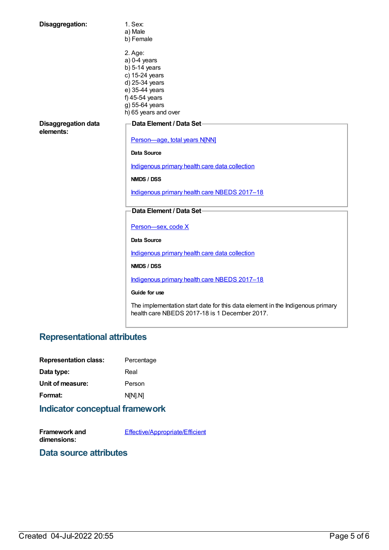| Disaggregation:                         | 1. Sex:<br>a) Male<br>b) Female                                                                                                                                |
|-----------------------------------------|----------------------------------------------------------------------------------------------------------------------------------------------------------------|
|                                         | 2. Age:<br>$a) 0-4$ years<br>$b)$ 5-14 years<br>c) 15-24 years<br>d) 25-34 years<br>e) 35-44 years<br>f) 45-54 years<br>g) 55-64 years<br>h) 65 years and over |
| <b>Disaggregation data</b><br>elements: | Data Element / Data Set-                                                                                                                                       |
|                                         | Person-age, total years N[NN]                                                                                                                                  |
|                                         | Data Source                                                                                                                                                    |
|                                         | Indigenous primary health care data collection                                                                                                                 |
|                                         | NMDS / DSS                                                                                                                                                     |
|                                         | Indigenous primary health care NBEDS 2017-18                                                                                                                   |
|                                         | Data Element / Data Set-                                                                                                                                       |
|                                         | Person-sex, code X                                                                                                                                             |
|                                         | Data Source                                                                                                                                                    |
|                                         | Indigenous primary health care data collection                                                                                                                 |
|                                         | NMDS / DSS                                                                                                                                                     |
|                                         | Indigenous primary health care NBEDS 2017-18                                                                                                                   |
|                                         | Guide for use                                                                                                                                                  |
|                                         | The implementation start date for this data element in the Indigenous primary<br>health care NBEDS 2017-18 is 1 December 2017.                                 |

# **Representational attributes**

| <b>Representation class:</b>                          | Percentage |
|-------------------------------------------------------|------------|
| Data type:                                            | Real       |
| Unit of measure:                                      | Person     |
| Format:                                               | NM.NI      |
| المتحدد ومتراكل المتماشية والمتماد والمتناقص والمتمار |            |

## **Indicator conceptual framework**

**Framework and dimensions:** [Effective/Appropriate/Efficient](https://meteor.aihw.gov.au/content/410681)

## **Data source attributes**